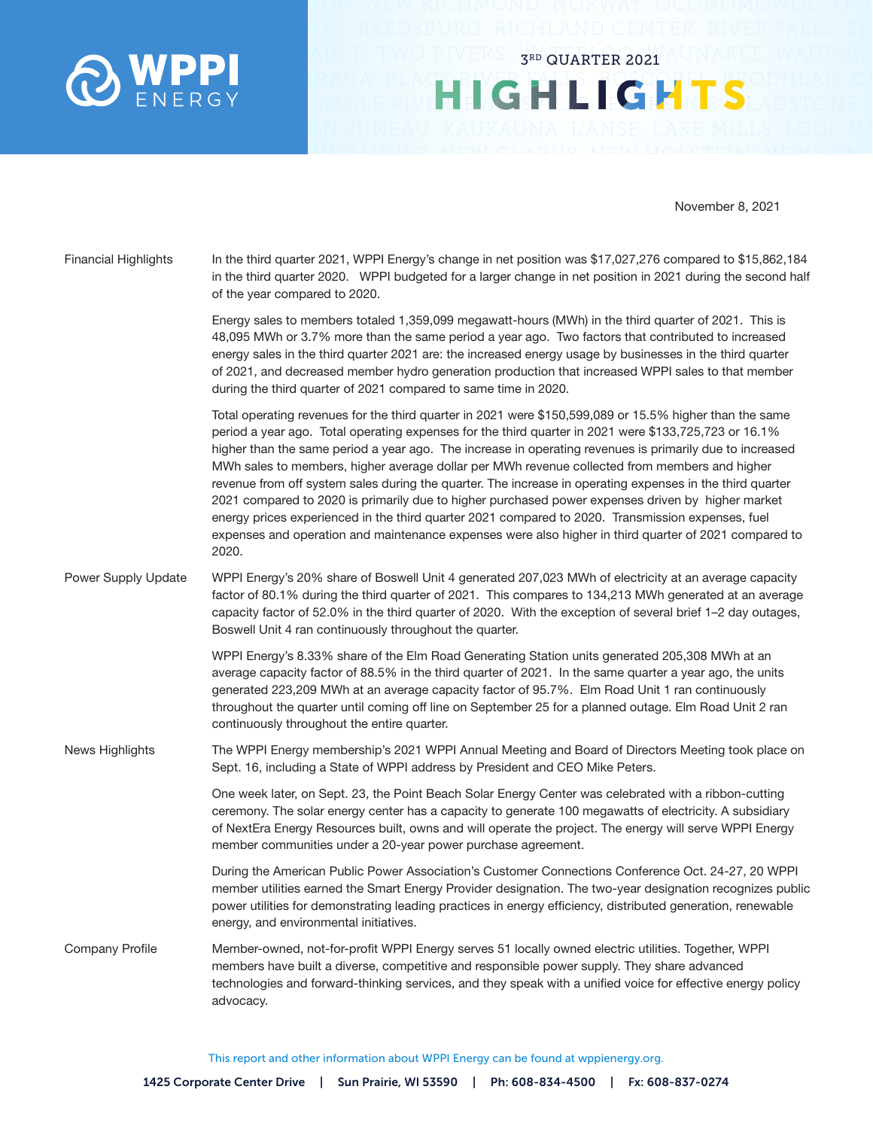

November 8, 2021

3RD QUARTER 2021

**IGHLIGHTS** 

| <b>Financial Highlights</b> | In the third quarter 2021, WPPI Energy's change in net position was \$17,027,276 compared to \$15,862,184<br>in the third quarter 2020. WPPI budgeted for a larger change in net position in 2021 during the second half<br>of the year compared to 2020.                                                                                                                                                                                                                                                                                                                                                                                                                                                                                                                                                                                                              |
|-----------------------------|------------------------------------------------------------------------------------------------------------------------------------------------------------------------------------------------------------------------------------------------------------------------------------------------------------------------------------------------------------------------------------------------------------------------------------------------------------------------------------------------------------------------------------------------------------------------------------------------------------------------------------------------------------------------------------------------------------------------------------------------------------------------------------------------------------------------------------------------------------------------|
|                             | Energy sales to members totaled 1,359,099 megawatt-hours (MWh) in the third quarter of 2021. This is<br>48,095 MWh or 3.7% more than the same period a year ago. Two factors that contributed to increased<br>energy sales in the third quarter 2021 are: the increased energy usage by businesses in the third quarter<br>of 2021, and decreased member hydro generation production that increased WPPI sales to that member<br>during the third quarter of 2021 compared to same time in 2020.                                                                                                                                                                                                                                                                                                                                                                       |
|                             | Total operating revenues for the third quarter in 2021 were \$150,599,089 or 15.5% higher than the same<br>period a year ago. Total operating expenses for the third quarter in 2021 were \$133,725,723 or 16.1%<br>higher than the same period a year ago. The increase in operating revenues is primarily due to increased<br>MWh sales to members, higher average dollar per MWh revenue collected from members and higher<br>revenue from off system sales during the quarter. The increase in operating expenses in the third quarter<br>2021 compared to 2020 is primarily due to higher purchased power expenses driven by higher market<br>energy prices experienced in the third quarter 2021 compared to 2020. Transmission expenses, fuel<br>expenses and operation and maintenance expenses were also higher in third quarter of 2021 compared to<br>2020. |
| Power Supply Update         | WPPI Energy's 20% share of Boswell Unit 4 generated 207,023 MWh of electricity at an average capacity<br>factor of 80.1% during the third quarter of 2021. This compares to 134,213 MWh generated at an average<br>capacity factor of 52.0% in the third quarter of 2020. With the exception of several brief 1-2 day outages,<br>Boswell Unit 4 ran continuously throughout the quarter.                                                                                                                                                                                                                                                                                                                                                                                                                                                                              |
|                             | WPPI Energy's 8.33% share of the Elm Road Generating Station units generated 205,308 MWh at an<br>average capacity factor of 88.5% in the third quarter of 2021. In the same quarter a year ago, the units<br>generated 223,209 MWh at an average capacity factor of 95.7%. Elm Road Unit 1 ran continuously<br>throughout the quarter until coming off line on September 25 for a planned outage. Elm Road Unit 2 ran<br>continuously throughout the entire quarter.                                                                                                                                                                                                                                                                                                                                                                                                  |
| News Highlights             | The WPPI Energy membership's 2021 WPPI Annual Meeting and Board of Directors Meeting took place on<br>Sept. 16, including a State of WPPI address by President and CEO Mike Peters.                                                                                                                                                                                                                                                                                                                                                                                                                                                                                                                                                                                                                                                                                    |
|                             | One week later, on Sept. 23, the Point Beach Solar Energy Center was celebrated with a ribbon-cutting<br>ceremony. The solar energy center has a capacity to generate 100 megawatts of electricity. A subsidiary<br>of NextEra Energy Resources built, owns and will operate the project. The energy will serve WPPI Energy<br>member communities under a 20-year power purchase agreement.                                                                                                                                                                                                                                                                                                                                                                                                                                                                            |
|                             | During the American Public Power Association's Customer Connections Conference Oct. 24-27, 20 WPPI<br>member utilities earned the Smart Energy Provider designation. The two-year designation recognizes public<br>power utilities for demonstrating leading practices in energy efficiency, distributed generation, renewable<br>energy, and environmental initiatives.                                                                                                                                                                                                                                                                                                                                                                                                                                                                                               |
| <b>Company Profile</b>      | Member-owned, not-for-profit WPPI Energy serves 51 locally owned electric utilities. Together, WPPI<br>members have built a diverse, competitive and responsible power supply. They share advanced<br>technologies and forward-thinking services, and they speak with a unified voice for effective energy policy<br>advocacy.                                                                                                                                                                                                                                                                                                                                                                                                                                                                                                                                         |

This report and other information about WPPI Energy can be found at wppienergy.org.